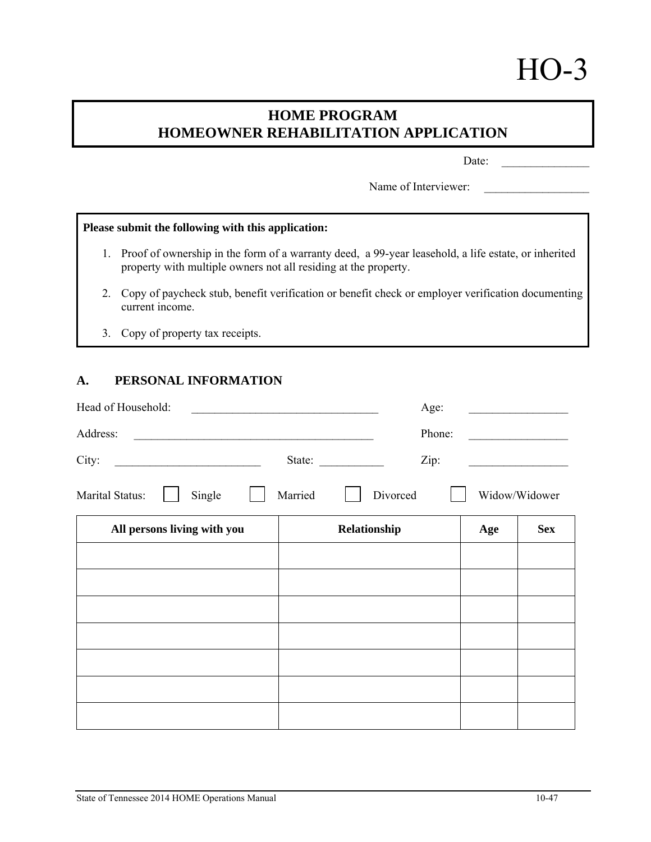# HO-3

# **HOME PROGRAM HOMEOWNER REHABILITATION APPLICATION**

Date:

Name of Interviewer:

# **Please submit the following with this application:**

- 1. Proof of ownership in the form of a warranty deed, a 99-year leasehold, a life estate, or inherited property with multiple owners not all residing at the property.
- 2. Copy of paycheck stub, benefit verification or benefit check or employer verification documenting current income.
- 3. Copy of property tax receipts.

# **A. PERSONAL INFORMATION**

| Head of Household:<br><u> 1986 - John Stein, Amerikaansk kanton (</u>                                                            |         | Age:                                                              |     |                                                    |
|----------------------------------------------------------------------------------------------------------------------------------|---------|-------------------------------------------------------------------|-----|----------------------------------------------------|
| Address:<br><u> 1989 - Andrea State Barbara, amerikan personal di sebagai personal di sebagai personal di sebagai personal d</u> |         | Phone:                                                            |     | the control of the control of the control of       |
| City:<br><u> Alexandria de la contrada de la contrada de la contrada de la contrada de la contrada de la contrada de la c</u>    |         | Zip:<br>State: $\frac{1}{\sqrt{1-\frac{1}{2}} \cdot \frac{1}{2}}$ |     | <u> 1989 - John Stein, Amerikaansk politiker (</u> |
| Marital Status:<br>Single                                                                                                        | Married | Divorced                                                          |     | Widow/Widower                                      |
| All persons living with you                                                                                                      |         | Relationship                                                      | Age | <b>Sex</b>                                         |
|                                                                                                                                  |         |                                                                   |     |                                                    |
|                                                                                                                                  |         |                                                                   |     |                                                    |
|                                                                                                                                  |         |                                                                   |     |                                                    |
|                                                                                                                                  |         |                                                                   |     |                                                    |
|                                                                                                                                  |         |                                                                   |     |                                                    |
|                                                                                                                                  |         |                                                                   |     |                                                    |
|                                                                                                                                  |         |                                                                   |     |                                                    |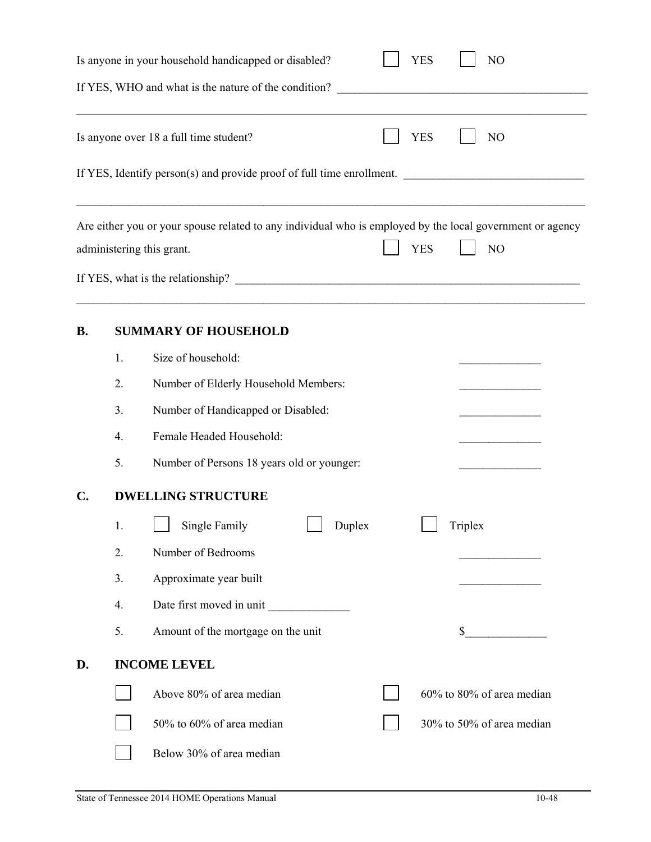| <b>YES</b><br>Is anyone in your household handicapped or disabled?<br>N <sub>O</sub><br>If YES, WHO and what is the nature of the condition?<br><u> 1989 - Johann Barbara, martxa amerikan bashkar (</u> |                          |                                                                                                                                                            |  |  |  |
|----------------------------------------------------------------------------------------------------------------------------------------------------------------------------------------------------------|--------------------------|------------------------------------------------------------------------------------------------------------------------------------------------------------|--|--|--|
|                                                                                                                                                                                                          |                          |                                                                                                                                                            |  |  |  |
|                                                                                                                                                                                                          |                          | <b>YES</b><br>Is anyone over 18 a full time student?<br>N <sub>O</sub>                                                                                     |  |  |  |
|                                                                                                                                                                                                          |                          | If YES, Identify person(s) and provide proof of full time enrollment.                                                                                      |  |  |  |
|                                                                                                                                                                                                          |                          | Are either you or your spouse related to any individual who is employed by the local government or agency<br><b>YES</b><br>NO<br>administering this grant. |  |  |  |
|                                                                                                                                                                                                          |                          |                                                                                                                                                            |  |  |  |
| <b>B.</b>                                                                                                                                                                                                |                          | <b>SUMMARY OF HOUSEHOLD</b>                                                                                                                                |  |  |  |
|                                                                                                                                                                                                          | 1.                       | Size of household:                                                                                                                                         |  |  |  |
|                                                                                                                                                                                                          | 2.                       | Number of Elderly Household Members:                                                                                                                       |  |  |  |
|                                                                                                                                                                                                          | 3.                       | Number of Handicapped or Disabled:                                                                                                                         |  |  |  |
|                                                                                                                                                                                                          | 4.                       | Female Headed Household:                                                                                                                                   |  |  |  |
|                                                                                                                                                                                                          | 5.                       | Number of Persons 18 years old or younger:                                                                                                                 |  |  |  |
| C.                                                                                                                                                                                                       |                          | <b>DWELLING STRUCTURE</b>                                                                                                                                  |  |  |  |
|                                                                                                                                                                                                          | 1.                       | $\Box$ Single Family<br>$\Box$ Duplex<br>Triplex                                                                                                           |  |  |  |
|                                                                                                                                                                                                          | 2.                       | Number of Bedrooms                                                                                                                                         |  |  |  |
|                                                                                                                                                                                                          | 3.                       | Approximate year built                                                                                                                                     |  |  |  |
|                                                                                                                                                                                                          | 4.                       | Date first moved in unit                                                                                                                                   |  |  |  |
|                                                                                                                                                                                                          | 5.                       | Amount of the mortgage on the unit<br>\$                                                                                                                   |  |  |  |
| D.                                                                                                                                                                                                       |                          | <b>INCOME LEVEL</b>                                                                                                                                        |  |  |  |
|                                                                                                                                                                                                          |                          | Above 80% of area median<br>60% to 80% of area median                                                                                                      |  |  |  |
|                                                                                                                                                                                                          |                          | 50% to 60% of area median<br>30% to 50% of area median                                                                                                     |  |  |  |
|                                                                                                                                                                                                          | Below 30% of area median |                                                                                                                                                            |  |  |  |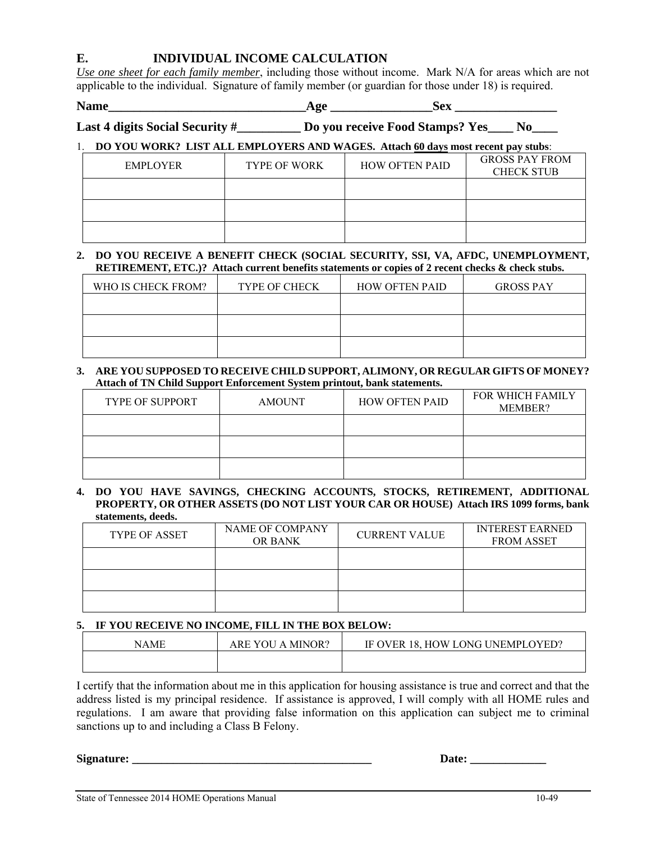# **E. INDIVIDUAL INCOME CALCULATION**

*Use one sheet for each family member*, including those without income. Mark N/A for areas which are not applicable to the individual. Signature of family member (or guardian for those under 18) is required.

Name  $\qquad \qquad$   $\qquad \qquad$   $\qquad \qquad$   $\qquad \qquad$   $\qquad \qquad$   $\qquad$   $\qquad \qquad$   $\qquad$   $\qquad$   $\qquad$   $\qquad$   $\qquad$   $\qquad$   $\qquad$   $\qquad$   $\qquad$   $\qquad$   $\qquad$   $\qquad$   $\qquad$   $\qquad$   $\qquad$   $\qquad$   $\qquad$   $\qquad$   $\qquad$   $\qquad$   $\qquad$   $\qquad$   $\qquad$   $\qquad$   $\qquad$   $\qquad$ 

# **Last 4 digits Social Security #\_\_\_\_\_\_\_\_\_\_ Do you receive Food Stamps? Yes\_\_\_\_ No\_\_\_\_**

# 1. **DO YOU WORK? LIST ALL EMPLOYERS AND WAGES. Attach 60 days most recent pay stubs**:

| EMPLOYER | <b>TYPE OF WORK</b> | <b>HOW OFTEN PAID</b> | <b>GROSS PAY FROM</b><br><b>CHECK STUB</b> |
|----------|---------------------|-----------------------|--------------------------------------------|
|          |                     |                       |                                            |
|          |                     |                       |                                            |
|          |                     |                       |                                            |

### **2. DO YOU RECEIVE A BENEFIT CHECK (SOCIAL SECURITY, SSI, VA, AFDC, UNEMPLOYMENT, RETIREMENT, ETC.)? Attach current benefits statements or copies of 2 recent checks & check stubs.**

| WHO IS CHECK FROM? | <b>TYPE OF CHECK</b> | <b>HOW OFTEN PAID</b> | <b>GROSS PAY</b> |
|--------------------|----------------------|-----------------------|------------------|
|                    |                      |                       |                  |
|                    |                      |                       |                  |
|                    |                      |                       |                  |

### **3. ARE YOU SUPPOSED TO RECEIVE CHILD SUPPORT, ALIMONY, OR REGULAR GIFTS OF MONEY? Attach of TN Child Support Enforcement System printout, bank statements.**

| TYPE OF SUPPORT | <b>AMOUNT</b> | <b>HOW OFTEN PAID</b> | FOR WHICH FAMILY<br>MEMBER? |
|-----------------|---------------|-----------------------|-----------------------------|
|                 |               |                       |                             |
|                 |               |                       |                             |
|                 |               |                       |                             |

#### **4. DO YOU HAVE SAVINGS, CHECKING ACCOUNTS, STOCKS, RETIREMENT, ADDITIONAL PROPERTY, OR OTHER ASSETS (DO NOT LIST YOUR CAR OR HOUSE) Attach IRS 1099 forms, bank statements, deeds.**

| <b>TYPE OF ASSET</b> | NAME OF COMPANY<br>OR BANK | <b>CURRENT VALUE</b> | <b>INTEREST EARNED</b><br><b>FROM ASSET</b> |
|----------------------|----------------------------|----------------------|---------------------------------------------|
|                      |                            |                      |                                             |
|                      |                            |                      |                                             |
|                      |                            |                      |                                             |

## **5. IF YOU RECEIVE NO INCOME, FILL IN THE BOX BELOW:**

| NAME | ARE YOU<br>A MINOR? | IF OVER 18, HOW LONG UNEMPLOYED? |
|------|---------------------|----------------------------------|
|      |                     |                                  |

I certify that the information about me in this application for housing assistance is true and correct and that the address listed is my principal residence. If assistance is approved, I will comply with all HOME rules and regulations. I am aware that providing false information on this application can subject me to criminal sanctions up to and including a Class B Felony.

**Signature: \_\_\_\_\_\_\_\_\_\_\_\_\_\_\_\_\_\_\_\_\_\_\_\_\_\_\_\_\_\_\_\_\_\_\_\_\_\_\_\_\_ Date: \_\_\_\_\_\_\_\_\_\_\_\_\_**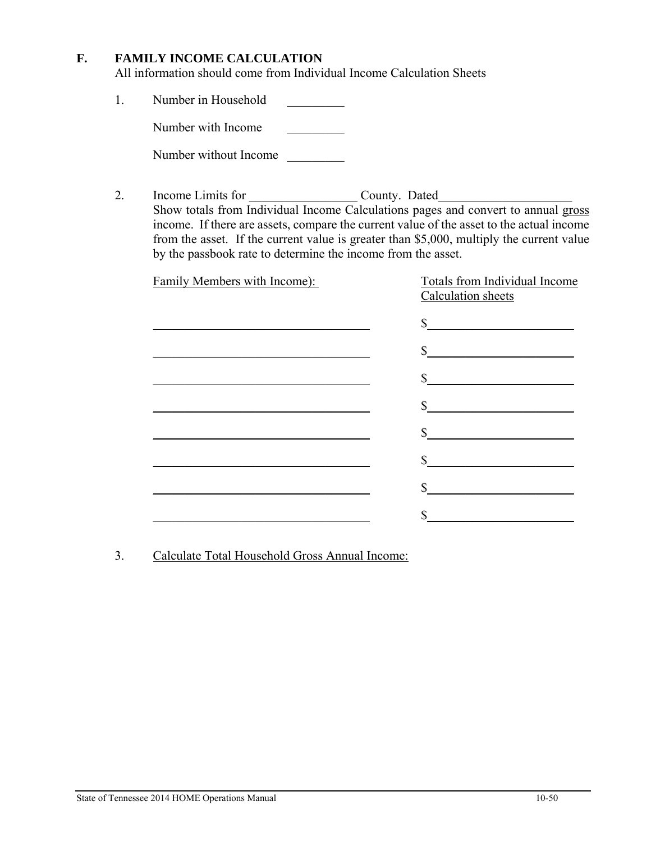# **F. FAMILY INCOME CALCULATION**

All information should come from Individual Income Calculation Sheets

1. Number in Household

Number with Income

Number without Income \_\_\_\_\_\_\_\_\_

2. Income Limits for County. Dated Show totals from Individual Income Calculations pages and convert to annual gross income. If there are assets, compare the current value of the asset to the actual income from the asset. If the current value is greater than \$5,000, multiply the current value by the passbook rate to determine the income from the asset.

| Family Members with Income): | <b>Totals from Individual Income</b><br>Calculation sheets                                                                                                                                                                                                                                                                                          |
|------------------------------|-----------------------------------------------------------------------------------------------------------------------------------------------------------------------------------------------------------------------------------------------------------------------------------------------------------------------------------------------------|
|                              | s                                                                                                                                                                                                                                                                                                                                                   |
|                              | $\begin{picture}(20,10) \put(0,0){\line(1,0){10}} \put(15,0){\line(1,0){10}} \put(15,0){\line(1,0){10}} \put(15,0){\line(1,0){10}} \put(15,0){\line(1,0){10}} \put(15,0){\line(1,0){10}} \put(15,0){\line(1,0){10}} \put(15,0){\line(1,0){10}} \put(15,0){\line(1,0){10}} \put(15,0){\line(1,0){10}} \put(15,0){\line(1,0){10}} \put(15,0){\line(1$ |
|                              |                                                                                                                                                                                                                                                                                                                                                     |
|                              |                                                                                                                                                                                                                                                                                                                                                     |
|                              |                                                                                                                                                                                                                                                                                                                                                     |
|                              |                                                                                                                                                                                                                                                                                                                                                     |
|                              |                                                                                                                                                                                                                                                                                                                                                     |
|                              |                                                                                                                                                                                                                                                                                                                                                     |

3. Calculate Total Household Gross Annual Income: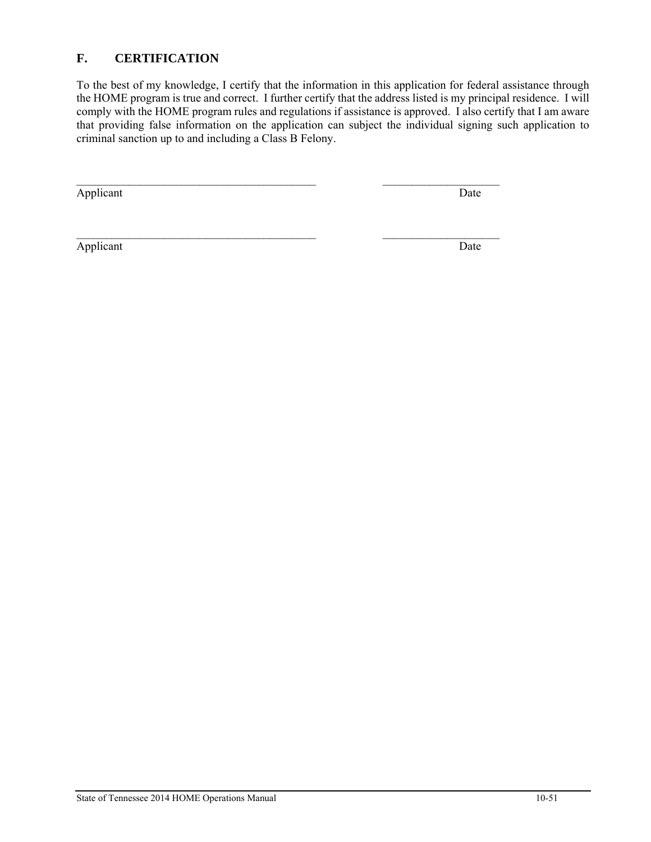# **F. CERTIFICATION**

To the best of my knowledge, I certify that the information in this application for federal assistance through the HOME program is true and correct. I further certify that the address listed is my principal residence. I will comply with the HOME program rules and regulations if assistance is approved. I also certify that I am aware that providing false information on the application can subject the individual signing such application to criminal sanction up to and including a Class B Felony.

 $\mathcal{L}_\text{max} = \frac{1}{2} \sum_{i=1}^n \mathcal{L}_\text{max}(\mathbf{z}_i - \mathbf{z}_i)$ 

Applicant Date

Applicant Date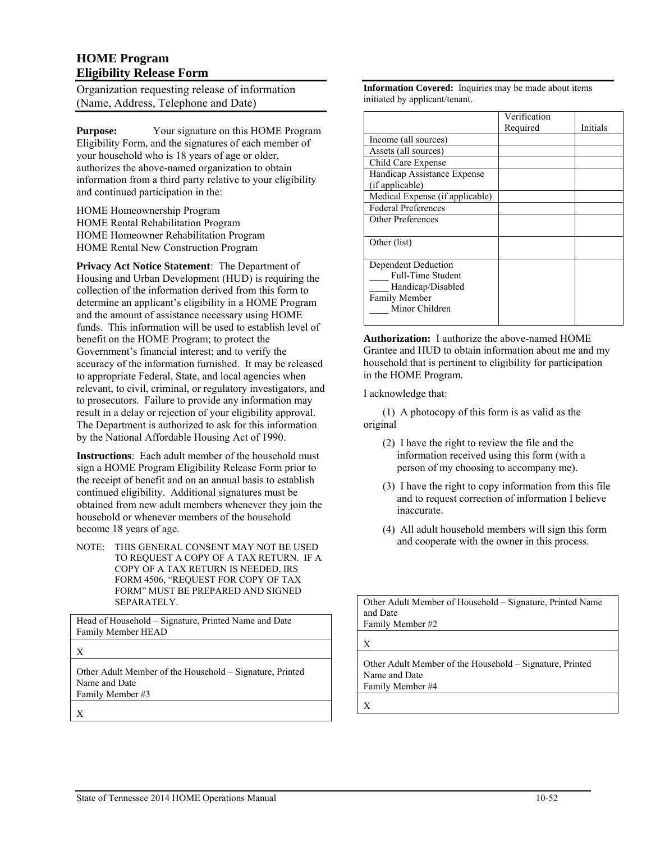# **HOME Program Eligibility Release Form**

Organization requesting release of information (Name, Address, Telephone and Date)

**Purpose:** Your signature on this HOME Program Eligibility Form, and the signatures of each member of your household who is 18 years of age or older, authorizes the above-named organization to obtain information from a third party relative to your eligibility and continued participation in the:

HOME Homeownership Program HOME Rental Rehabilitation Program HOME Homeowner Rehabilitation Program HOME Rental New Construction Program

**Privacy Act Notice Statement**: The Department of Housing and Urban Development (HUD) is requiring the collection of the information derived from this form to determine an applicant's eligibility in a HOME Program and the amount of assistance necessary using HOME funds. This information will be used to establish level of benefit on the HOME Program; to protect the Government's financial interest; and to verify the accuracy of the information furnished. It may be released to appropriate Federal, State, and local agencies when relevant, to civil, criminal, or regulatory investigators, and to prosecutors. Failure to provide any information may result in a delay or rejection of your eligibility approval. The Department is authorized to ask for this information by the National Affordable Housing Act of 1990.

**Instructions**: Each adult member of the household must sign a HOME Program Eligibility Release Form prior to the receipt of benefit and on an annual basis to establish continued eligibility. Additional signatures must be obtained from new adult members whenever they join the household or whenever members of the household become 18 years of age.

NOTE: THIS GENERAL CONSENT MAY NOT BE USED TO REQUEST A COPY OF A TAX RETURN. IF A COPY OF A TAX RETURN IS NEEDED, IRS FORM 4506, "REQUEST FOR COPY OF TAX FORM" MUST BE PREPARED AND SIGNED SEPARATELY.

Head of Household – Signature, Printed Name and Date Family Member HEAD

X

Other Adult Member of the Household – Signature, Printed Name and Date Family Member #3

X

**Information Covered:** Inquiries may be made about items initiated by applicant/tenant.

|                                 | Verification |          |
|---------------------------------|--------------|----------|
|                                 | Required     | Initials |
| Income (all sources)            |              |          |
| Assets (all sources)            |              |          |
| Child Care Expense              |              |          |
| Handicap Assistance Expense     |              |          |
| (if applicable)                 |              |          |
| Medical Expense (if applicable) |              |          |
| <b>Federal Preferences</b>      |              |          |
| <b>Other Preferences</b>        |              |          |
|                                 |              |          |
| Other (list)                    |              |          |
|                                 |              |          |
| Dependent Deduction             |              |          |
| <b>Full-Time Student</b>        |              |          |
| Handicap/Disabled               |              |          |
| <b>Family Member</b>            |              |          |
| Minor Children                  |              |          |
|                                 |              |          |

**Authorization:** I authorize the above-named HOME Grantee and HUD to obtain information about me and my household that is pertinent to eligibility for participation in the HOME Program.

I acknowledge that:

(1) A photocopy of this form is as valid as the original

- (2) I have the right to review the file and the information received using this form (with a person of my choosing to accompany me).
- (3) I have the right to copy information from this file and to request correction of information I believe inaccurate.
- (4) All adult household members will sign this form and cooperate with the owner in this process.

Other Adult Member of Household – Signature, Printed Name and Date Family Member #2

X

Other Adult Member of the Household – Signature, Printed Name and Date Family Member #4

X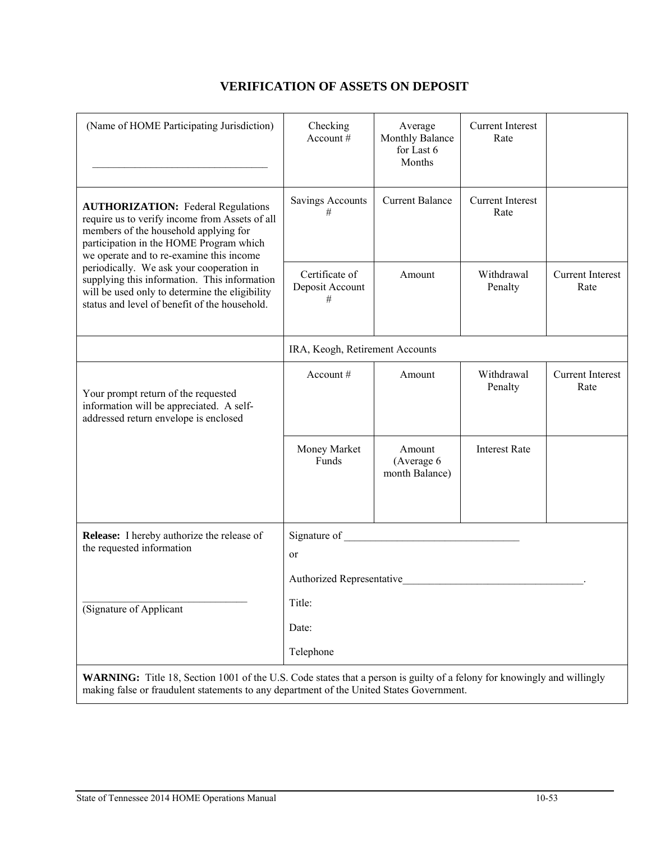#### (Name of HOME Participating Jurisdiction) \_\_\_\_\_\_\_\_\_\_\_\_\_\_\_\_\_\_\_\_\_\_\_\_\_\_\_\_\_\_\_\_\_ Checking Account # Average Monthly Balance for Last 6 Months Current Interest Rate **AUTHORIZATION:** Federal Regulations require us to verify income from Assets of all members of the household applying for participation in the HOME Program which we operate and to re-examine this income periodically. We ask your cooperation in supplying this information. This information will be used only to determine the eligibility status and level of benefit of the household. Savings Accounts # Current Balance | Current Interest Rate Certificate of Deposit Account # Amount Withdrawal Penalty Current Interest Rate IRA, Keogh, Retirement Accounts Your prompt return of the requested information will be appreciated. A selfaddressed return envelope is enclosed Account # Amount Withdrawal Penalty Current Interest Rate Money Market Funds Amount (Average 6 month Balance) Interest Rate **Release:** I hereby authorize the release of the requested information (Signature of Applicant Signature of or Authorized Representative Title: Date: Telephone

# **VERIFICATION OF ASSETS ON DEPOSIT**

**WARNING:** Title 18, Section 1001 of the U.S. Code states that a person is guilty of a felony for knowingly and willingly making false or fraudulent statements to any department of the United States Government.